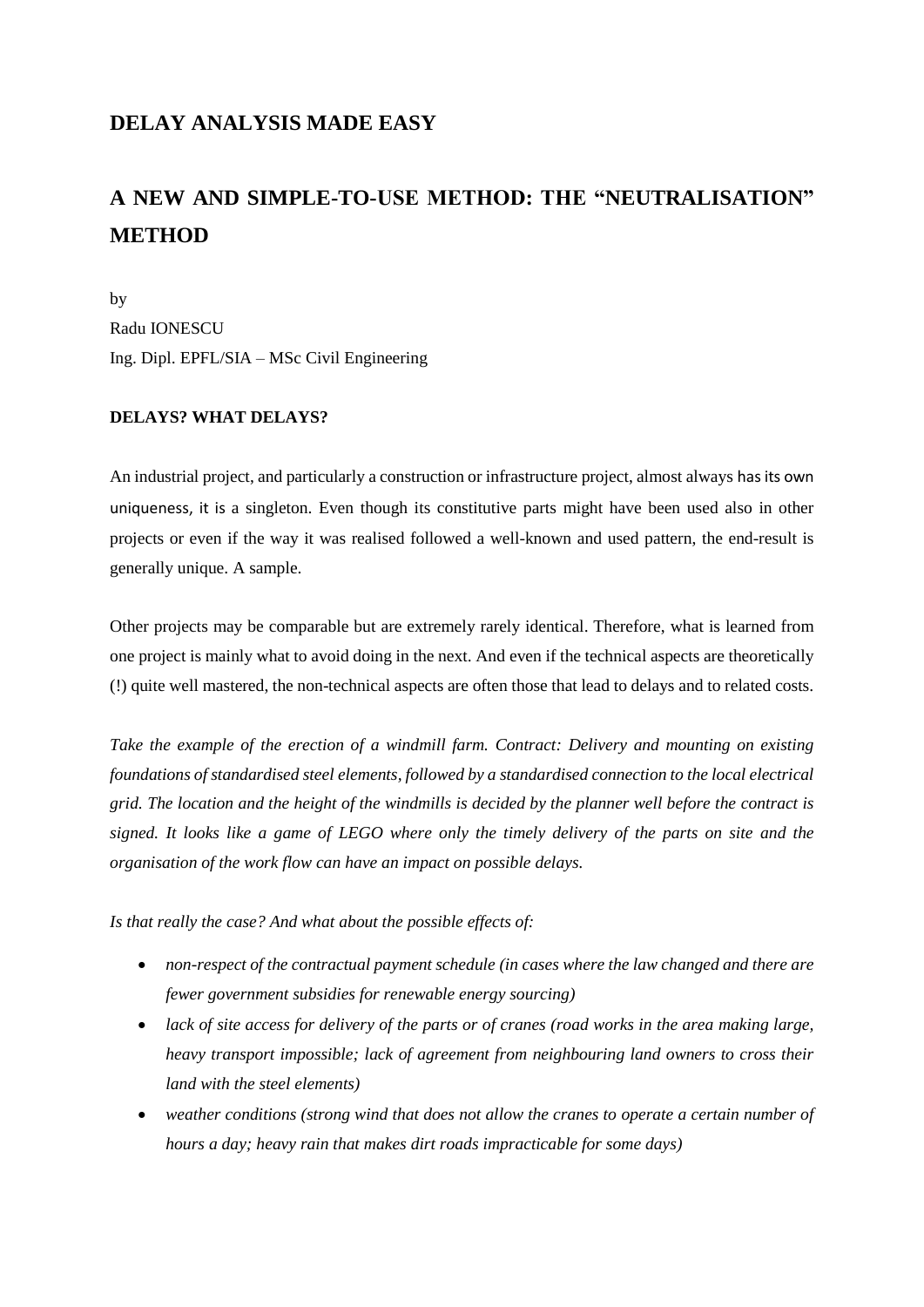# **DELAY ANALYSIS MADE EASY**

# **A NEW AND SIMPLE-TO-USE METHOD: THE "NEUTRALISATION" METHOD**

by Radu IONESCU Ing. Dipl. EPFL/SIA – MSc Civil Engineering

## **DELAYS? WHAT DELAYS?**

An industrial project, and particularly a construction or infrastructure project, almost always has its own uniqueness, it is a singleton. Even though its constitutive parts might have been used also in other projects or even if the way it was realised followed a well-known and used pattern, the end-result is generally unique. A sample.

Other projects may be comparable but are extremely rarely identical. Therefore, what is learned from one project is mainly what to avoid doing in the next. And even if the technical aspects are theoretically (!) quite well mastered, the non-technical aspects are often those that lead to delays and to related costs.

*Take the example of the erection of a windmill farm. Contract: Delivery and mounting on existing foundations of standardised steel elements, followed by a standardised connection to the local electrical grid. The location and the height of the windmills is decided by the planner well before the contract is signed. It looks like a game of LEGO where only the timely delivery of the parts on site and the organisation of the work flow can have an impact on possible delays.* 

*Is that really the case? And what about the possible effects of:*

- *non-respect of the contractual payment schedule (in cases where the law changed and there are fewer government subsidies for renewable energy sourcing)*
- *lack of site access for delivery of the parts or of cranes (road works in the area making large, heavy transport impossible; lack of agreement from neighbouring land owners to cross their land with the steel elements)*
- *weather conditions (strong wind that does not allow the cranes to operate a certain number of hours a day; heavy rain that makes dirt roads impracticable for some days)*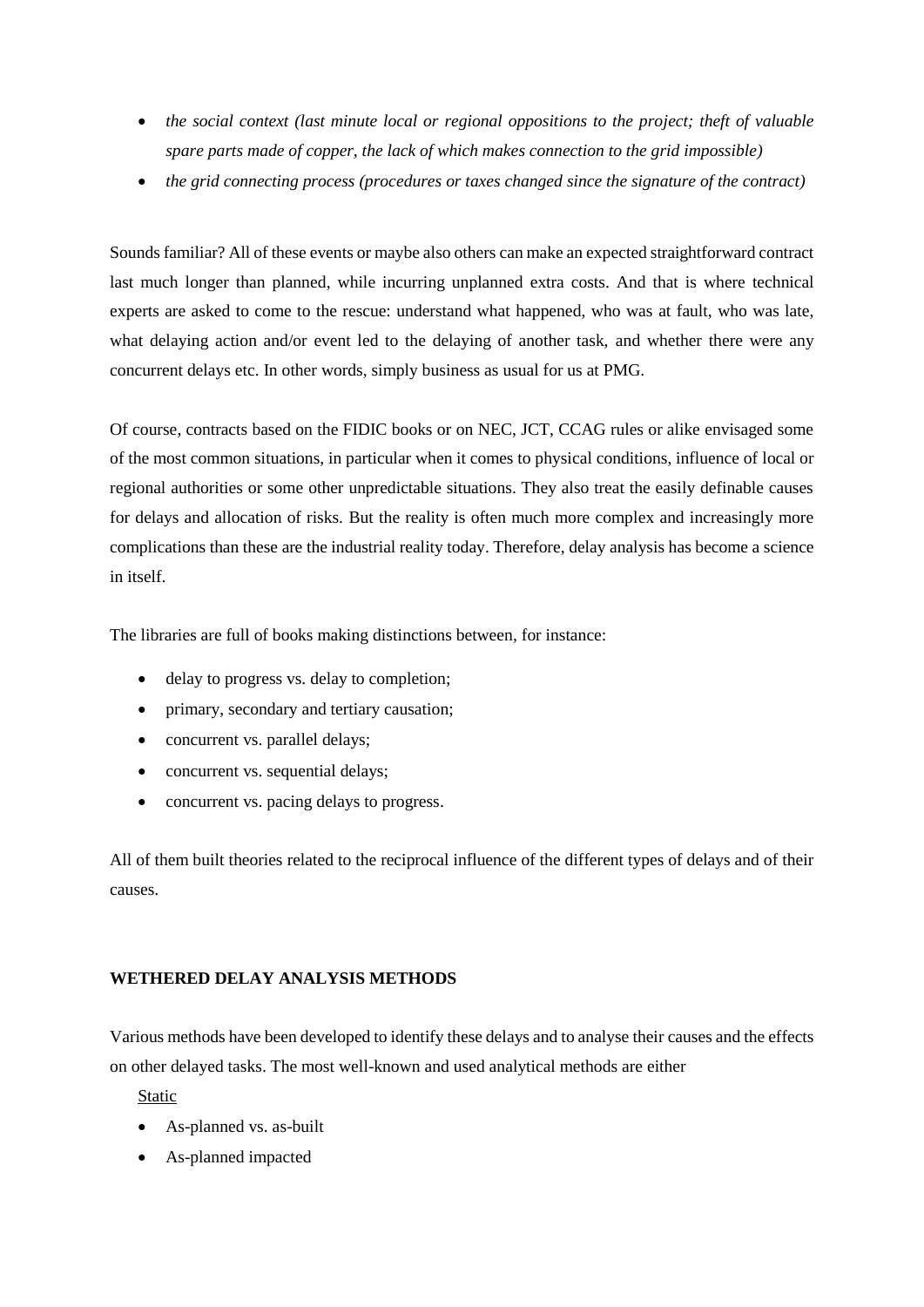- *the social context (last minute local or regional oppositions to the project; theft of valuable spare parts made of copper, the lack of which makes connection to the grid impossible)*
- *the grid connecting process (procedures or taxes changed since the signature of the contract)*

Sounds familiar? All of these events or maybe also others can make an expected straightforward contract last much longer than planned, while incurring unplanned extra costs. And that is where technical experts are asked to come to the rescue: understand what happened, who was at fault, who was late, what delaying action and/or event led to the delaying of another task, and whether there were any concurrent delays etc. In other words, simply business as usual for us at PMG.

Of course, contracts based on the FIDIC books or on NEC, JCT, CCAG rules or alike envisaged some of the most common situations, in particular when it comes to physical conditions, influence of local or regional authorities or some other unpredictable situations. They also treat the easily definable causes for delays and allocation of risks. But the reality is often much more complex and increasingly more complications than these are the industrial reality today. Therefore, delay analysis has become a science in itself.

The libraries are full of books making distinctions between, for instance:

- delay to progress vs. delay to completion;
- primary, secondary and tertiary causation:
- concurrent vs. parallel delays;
- concurrent vs. sequential delays;
- concurrent vs. pacing delays to progress.

All of them built theories related to the reciprocal influence of the different types of delays and of their causes.

## **WETHERED DELAY ANALYSIS METHODS**

Various methods have been developed to identify these delays and to analyse their causes and the effects on other delayed tasks. The most well-known and used analytical methods are either

Static

- As-planned vs. as-built
- As-planned impacted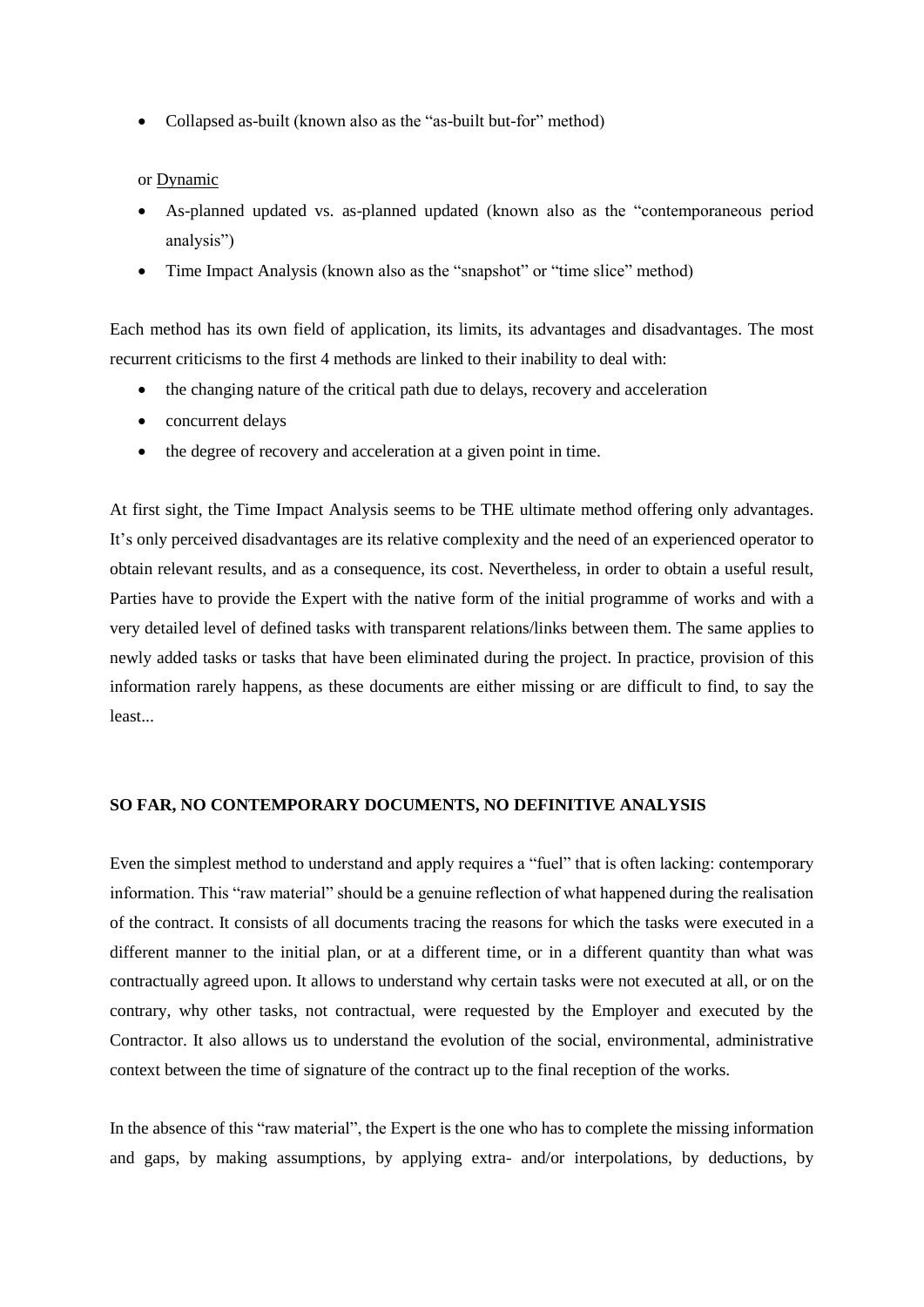• Collapsed as-built (known also as the "as-built but-for" method)

#### or Dynamic

- As-planned updated vs. as-planned updated (known also as the "contemporaneous period analysis")
- Time Impact Analysis (known also as the "snapshot" or "time slice" method)

Each method has its own field of application, its limits, its advantages and disadvantages. The most recurrent criticisms to the first 4 methods are linked to their inability to deal with:

- the changing nature of the critical path due to delays, recovery and acceleration
- concurrent delays
- the degree of recovery and acceleration at a given point in time.

At first sight, the Time Impact Analysis seems to be THE ultimate method offering only advantages. It's only perceived disadvantages are its relative complexity and the need of an experienced operator to obtain relevant results, and as a consequence, its cost. Nevertheless, in order to obtain a useful result, Parties have to provide the Expert with the native form of the initial programme of works and with a very detailed level of defined tasks with transparent relations/links between them. The same applies to newly added tasks or tasks that have been eliminated during the project. In practice, provision of this information rarely happens, as these documents are either missing or are difficult to find, to say the least...

#### **SO FAR, NO CONTEMPORARY DOCUMENTS, NO DEFINITIVE ANALYSIS**

Even the simplest method to understand and apply requires a "fuel" that is often lacking: contemporary information. This "raw material" should be a genuine reflection of what happened during the realisation of the contract. It consists of all documents tracing the reasons for which the tasks were executed in a different manner to the initial plan, or at a different time, or in a different quantity than what was contractually agreed upon. It allows to understand why certain tasks were not executed at all, or on the contrary, why other tasks, not contractual, were requested by the Employer and executed by the Contractor. It also allows us to understand the evolution of the social, environmental, administrative context between the time of signature of the contract up to the final reception of the works.

In the absence of this "raw material", the Expert is the one who has to complete the missing information and gaps, by making assumptions, by applying extra- and/or interpolations, by deductions, by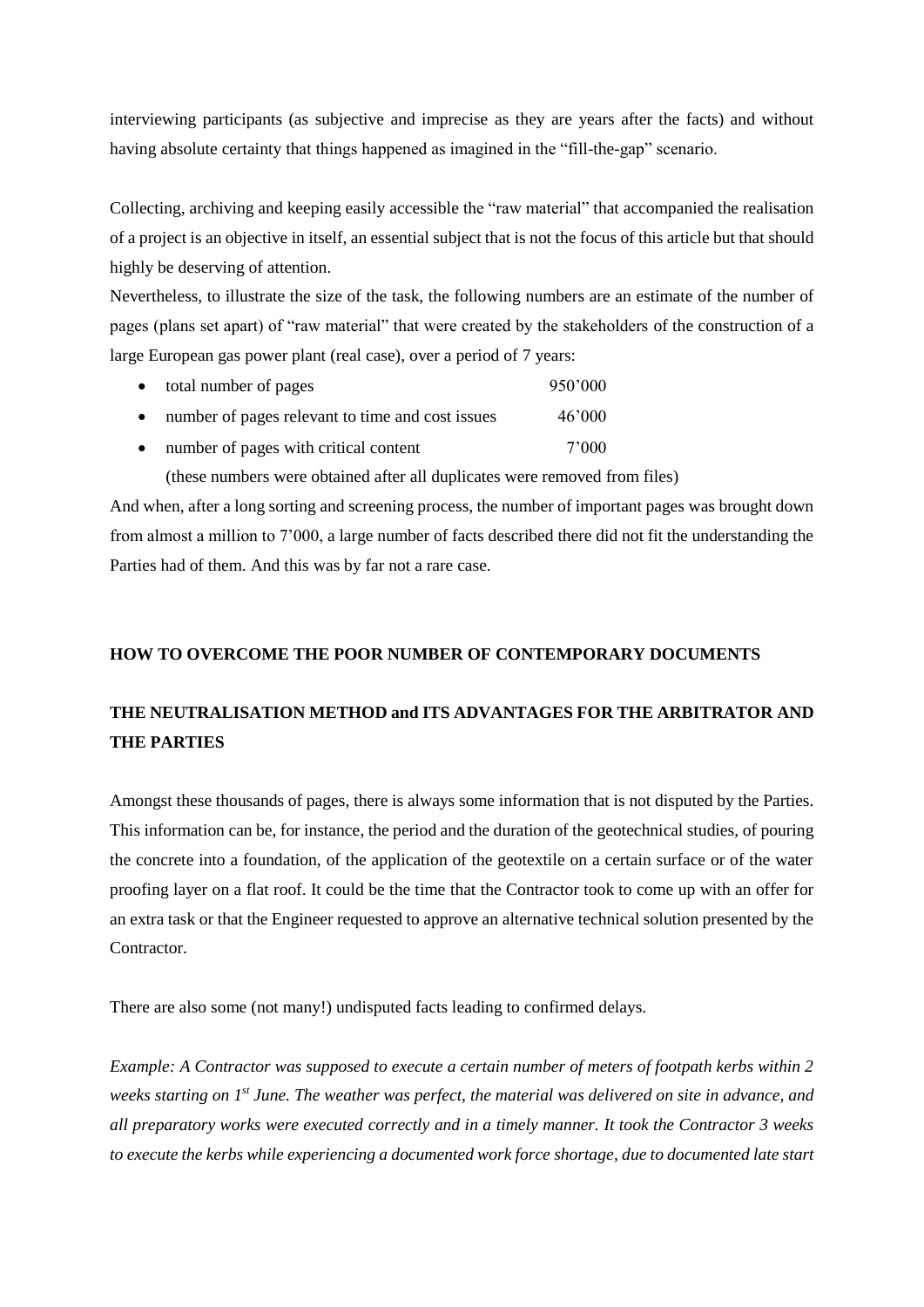interviewing participants (as subjective and imprecise as they are years after the facts) and without having absolute certainty that things happened as imagined in the "fill-the-gap" scenario.

Collecting, archiving and keeping easily accessible the "raw material" that accompanied the realisation of a project is an objective in itself, an essential subject that is not the focus of this article but that should highly be deserving of attention.

Nevertheless, to illustrate the size of the task, the following numbers are an estimate of the number of pages (plans set apart) of "raw material" that were created by the stakeholders of the construction of a large European gas power plant (real case), over a period of 7 years:

| $\bullet$ | total number of pages                            | 950'000 |
|-----------|--------------------------------------------------|---------|
| $\bullet$ | number of pages relevant to time and cost issues | 46'000  |
| $\bullet$ | number of pages with critical content            | 7'000   |

(these numbers were obtained after all duplicates were removed from files)

And when, after a long sorting and screening process, the number of important pages was brought down from almost a million to 7'000, a large number of facts described there did not fit the understanding the Parties had of them. And this was by far not a rare case.

## **HOW TO OVERCOME THE POOR NUMBER OF CONTEMPORARY DOCUMENTS**

# **THE NEUTRALISATION METHOD and ITS ADVANTAGES FOR THE ARBITRATOR AND THE PARTIES**

Amongst these thousands of pages, there is always some information that is not disputed by the Parties. This information can be, for instance, the period and the duration of the geotechnical studies, of pouring the concrete into a foundation, of the application of the geotextile on a certain surface or of the water proofing layer on a flat roof. It could be the time that the Contractor took to come up with an offer for an extra task or that the Engineer requested to approve an alternative technical solution presented by the Contractor.

There are also some (not many!) undisputed facts leading to confirmed delays.

*Example: A Contractor was supposed to execute a certain number of meters of footpath kerbs within 2 weeks starting on 1 st June. The weather was perfect, the material was delivered on site in advance, and all preparatory works were executed correctly and in a timely manner. It took the Contractor 3 weeks to execute the kerbs while experiencing a documented work force shortage, due to documented late start*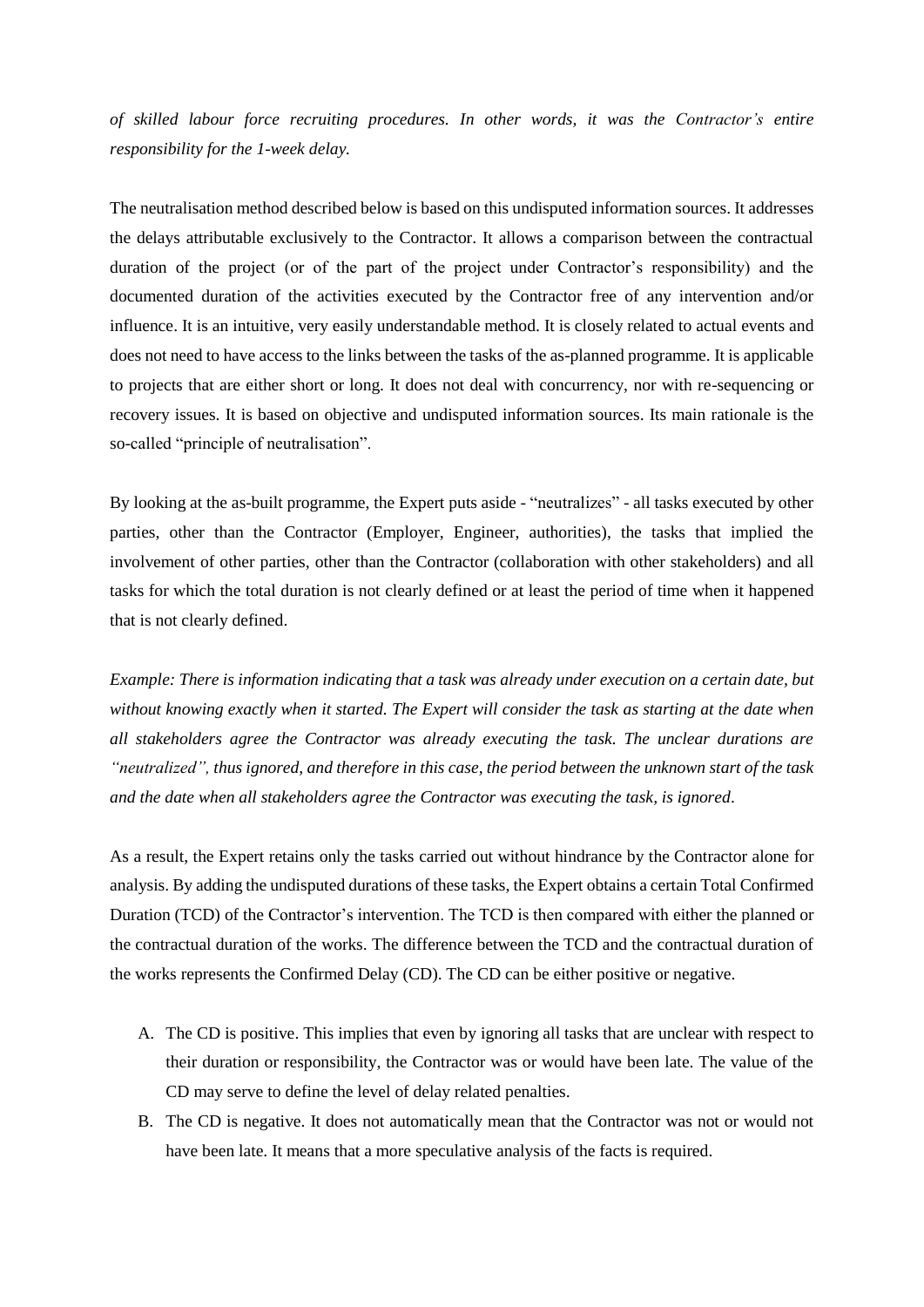*of skilled labour force recruiting procedures. In other words, it was the Contractor's entire responsibility for the 1-week delay.*

The neutralisation method described below is based on this undisputed information sources. It addresses the delays attributable exclusively to the Contractor. It allows a comparison between the contractual duration of the project (or of the part of the project under Contractor's responsibility) and the documented duration of the activities executed by the Contractor free of any intervention and/or influence. It is an intuitive, very easily understandable method. It is closely related to actual events and does not need to have access to the links between the tasks of the as-planned programme. It is applicable to projects that are either short or long. It does not deal with concurrency, nor with re-sequencing or recovery issues. It is based on objective and undisputed information sources. Its main rationale is the so-called "principle of neutralisation".

By looking at the as-built programme, the Expert puts aside - "neutralizes" - all tasks executed by other parties, other than the Contractor (Employer, Engineer, authorities), the tasks that implied the involvement of other parties, other than the Contractor (collaboration with other stakeholders) and all tasks for which the total duration is not clearly defined or at least the period of time when it happened that is not clearly defined.

*Example: There is information indicating that a task was already under execution on a certain date, but without knowing exactly when it started. The Expert will consider the task as starting at the date when all stakeholders agree the Contractor was already executing the task. The unclear durations are "neutralized", thus ignored, and therefore in this case, the period between the unknown start of the task and the date when all stakeholders agree the Contractor was executing the task, is ignored*.

As a result, the Expert retains only the tasks carried out without hindrance by the Contractor alone for analysis. By adding the undisputed durations of these tasks, the Expert obtains a certain Total Confirmed Duration (TCD) of the Contractor's intervention. The TCD is then compared with either the planned or the contractual duration of the works. The difference between the TCD and the contractual duration of the works represents the Confirmed Delay (CD). The CD can be either positive or negative.

- A. The CD is positive. This implies that even by ignoring all tasks that are unclear with respect to their duration or responsibility, the Contractor was or would have been late. The value of the CD may serve to define the level of delay related penalties.
- B. The CD is negative. It does not automatically mean that the Contractor was not or would not have been late. It means that a more speculative analysis of the facts is required.